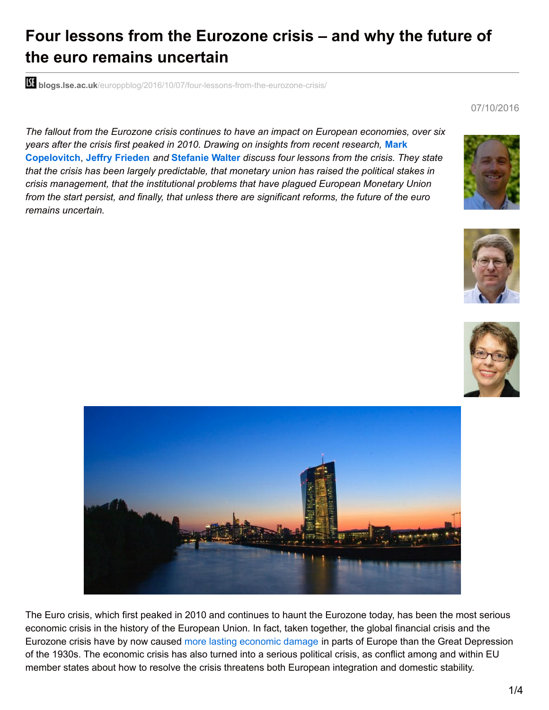# **Four lessons from the Eurozone crisis – and why the future of the euro remains uncertain**

**blidgs.lse.ac.uk**[/europpblog/2016/10/07/four-lessons-from-the-eurozone-crisis/](http://blogs.lse.ac.uk/europpblog/2016/10/07/four-lessons-from-the-eurozone-crisis/)

07/10/2016

*The fallout from the Eurozone crisis continues to have an impact on European economies, over six years after the crisis first peaked in 2010. Drawing on insights from recent research,* **Mark Copelovitch**, **Jeffry Frieden** *and* **Stefanie Walter** *discuss four lessons from the crisis. They state that the crisis has been largely predictable, that monetary union has raised the political stakes in crisis management, that the institutional problems that have plagued European Monetary Union from the start persist, and finally, that unless there are significant reforms, the future of the euro remains uncertain.*









The Euro crisis, which first peaked in 2010 and continues to haunt the Eurozone today, has been the most serious economic crisis in the history of the European Union. In fact, taken together, the global financial crisis and the Eurozone crisis have by now caused more lasting [economic](http://www.nytimes.com/interactive/2015/07/09/business/international/is-greece-worse-off-than-the-us-during-the-great-depression.html?_r=1) damage in parts of Europe than the Great Depression of the 1930s. The economic crisis has also turned into a serious political crisis, as conflict among and within EU member states about how to resolve the crisis threatens both European integration and domestic stability.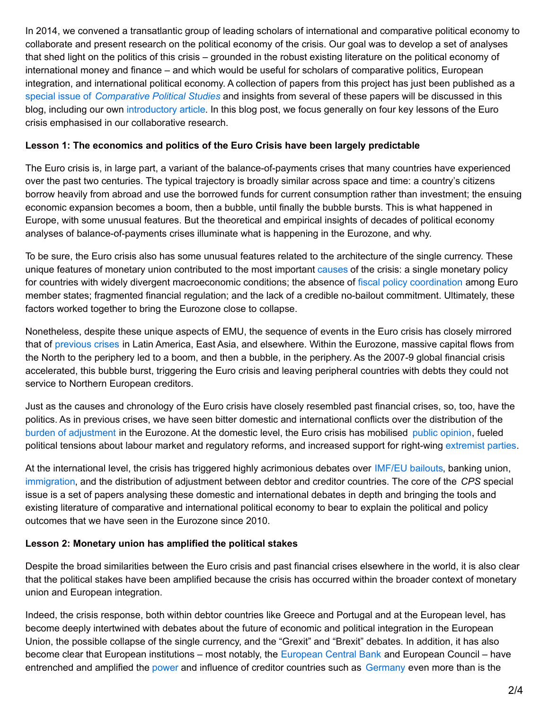In 2014, we convened a transatlantic group of leading scholars of international and comparative political economy to collaborate and present research on the political economy of the crisis. Our goal was to develop a set of analyses that shed light on the politics of this crisis – grounded in the robust existing literature on the political economy of international money and finance – and which would be useful for scholars of comparative politics, European integration, and international political economy. A collection of papers from this project has just been published as a special issue of *[Comparative](http://cps.sagepub.com/content/49/7.toc) Political Studies* and insights from several of these papers will be discussed in this blog, including our own [introductory](http://cps.sagepub.com/content/49/7/811) article. In this blog post, we focus generally on four key lessons of the Euro crisis emphasised in our collaborative research.

## **Lesson 1: The economics and politics of the Euro Crisis have been largely predictable**

The Euro crisis is, in large part, a variant of the balance-of-payments crises that many countries have experienced over the past two centuries. The typical trajectory is broadly similar across space and time: a country's citizens borrow heavily from abroad and use the borrowed funds for current consumption rather than investment; the ensuing economic expansion becomes a boom, then a bubble, until finally the bubble bursts. This is what happened in Europe, with some unusual features. But the theoretical and empirical insights of decades of political economy analyses of balance-of-payments crises illuminate what is happening in the Eurozone, and why.

To be sure, the Euro crisis also has some unusual features related to the architecture of the single currency. These unique features of monetary union contributed to the most important [causes](http://www.voxeu.org/article/eurozone-crisis-consensus-view-causes-and-few-possible-solutions) of the crisis: a single monetary policy for countries with widely divergent macroeconomic conditions; the absence of fiscal policy [coordination](http://cps.sagepub.com/content/early/2016/03/16/0010414016633230.abstract) among Euro member states; fragmented financial regulation; and the lack of a credible no-bailout commitment. Ultimately, these factors worked together to bring the Eurozone close to collapse.

Nonetheless, despite these unique aspects of EMU, the sequence of events in the Euro crisis has closely mirrored that of [previous](http://www.nber.org/papers/w13882.pdf) crises in Latin America, East Asia, and elsewhere. Within the Eurozone, massive capital flows from the North to the periphery led to a boom, and then a bubble, in the periphery. As the 2007-9 global financial crisis accelerated, this bubble burst, triggering the Euro crisis and leaving peripheral countries with debts they could not service to Northern European creditors.

Just as the causes and chronology of the Euro crisis have closely resembled past financial crises, so, too, have the politics. As in previous crises, we have seen bitter domestic and international conflicts over the distribution of the burden of [adjustment](http://cps.sagepub.com/content/early/2015/12/16/0010414015617967.abstract) in the Eurozone. At the domestic level, the Euro crisis has mobilised public [opinion](http://cps.sagepub.com/content/early/2016/03/21/0010414016633224.abstract), fueled political tensions about labour market and regulatory reforms, and increased support for right-wing [extremist](http://www.voxeu.org/article/political-aftermath-financial-crises-going-extremes) parties.

At the international level, the crisis has triggered highly acrimonious debates over [IMF/EU](http://blogs.lse.ac.uk/europpblog/2015/06/10/greeces-creditors-are-paying-the-price-for-not-relaxing-their-conditions-prior-to-the-2015-election/) bailouts, banking union, [immigration](http://cps.sagepub.com/content/early/2016/01/01/0010414015621079.abstract), and the distribution of adjustment between debtor and creditor countries. The core of the *CPS* special issue is a set of papers analysing these domestic and international debates in depth and bringing the tools and existing literature of comparative and international political economy to bear to explain the political and policy outcomes that we have seen in the Eurozone since 2010.

# **Lesson 2: Monetary union has amplified the political stakes**

Despite the broad similarities between the Euro crisis and past financial crises elsewhere in the world, it is also clear that the political stakes have been amplified because the crisis has occurred within the broader context of monetary union and European integration.

Indeed, the crisis response, both within debtor countries like Greece and Portugal and at the European level, has become deeply intertwined with debates about the future of economic and political integration in the European Union, the possible collapse of the single currency, and the "Grexit" and "Brexit" debates. In addition, it has also become clear that European institutions – most notably, the [European](http://cps.sagepub.com/content/early/2016/02/08/0010414015626444.abstract) Central Bank and European Council – have entrenched and amplified the [power](http://cps.sagepub.com/content/early/2016/03/16/0010414016633230.abstract) and influence of creditor countries such as [Germany](http://blogs.lse.ac.uk/europpblog/2015/01/26/the-return-of-the-german-question-why-conflict-between-creditor-and-debtor-countries-is-now-the-defining-feature-of-european-politics/) even more than is the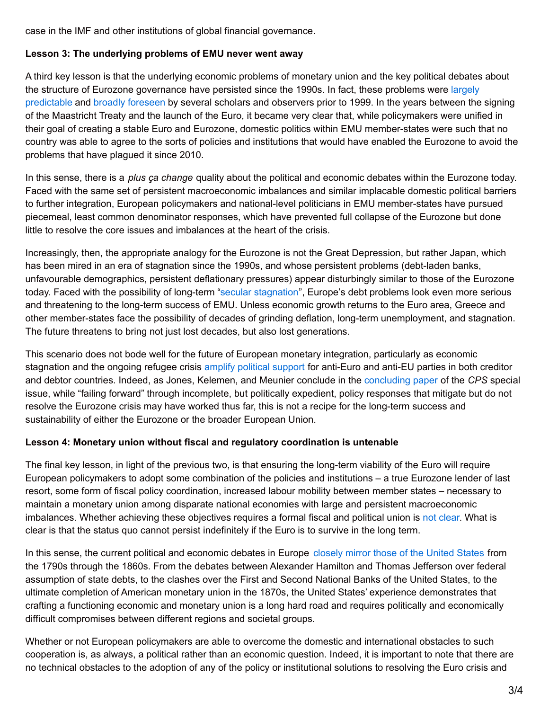case in the IMF and other institutions of global financial governance.

## **Lesson 3: The underlying problems of EMU never went away**

A third key lesson is that the underlying economic problems of monetary union and the key political debates about the structure of Eurozone [governance](http://www.brookings.edu/~/media/Projects/BPEA/1997-2/1997b_bpea_obstfeld_alesina_cooper.PDF) have persisted since the 1990s. In fact, these problems were largely predictable and broadly [foreseen](http://eml.berkeley.edu/~eichengr/research/Westview2.pdf) by several scholars and observers prior to 1999. In the years between the signing of the Maastricht Treaty and the launch of the Euro, it became very clear that, while policymakers were unified in their goal of creating a stable Euro and Eurozone, domestic politics within EMU member-states were such that no country was able to agree to the sorts of policies and institutions that would have enabled the Eurozone to avoid the problems that have plagued it since 2010.

In this sense, there is a *plus ça change* quality about the political and economic debates within the Eurozone today. Faced with the same set of persistent macroeconomic imbalances and similar implacable domestic political barriers to further integration, European policymakers and national-level politicians in EMU member-states have pursued piecemeal, least common denominator responses, which have prevented full collapse of the Eurozone but done little to resolve the core issues and imbalances at the heart of the crisis.

Increasingly, then, the appropriate analogy for the Eurozone is not the Great Depression, but rather Japan, which has been mired in an era of stagnation since the 1990s, and whose persistent problems (debt-laden banks, unfavourable demographics, persistent deflationary pressures) appear disturbingly similar to those of the Eurozone today. Faced with the possibility of long-term "secular [stagnation](http://larrysummers.com/2016/02/17/the-age-of-secular-stagnation/)", Europe's debt problems look even more serious and threatening to the long-term success of EMU. Unless economic growth returns to the Euro area, Greece and other member-states face the possibility of decades of grinding deflation, long-term unemployment, and stagnation. The future threatens to bring not just lost decades, but also lost generations.

This scenario does not bode well for the future of European monetary integration, particularly as economic stagnation and the ongoing refugee crisis amplify [political](http://www.economist.com/news/europe/21603034-impact-rise-anti-establishment-parties-europe-and-abroad-eurosceptic-union) support for anti-Euro and anti-EU parties in both creditor and debtor countries. Indeed, as Jones, Kelemen, and Meunier conclude in the [concluding](http://cps.sagepub.com/content/early/2015/12/11/0010414015617966.abstract) paper of the *CPS* special issue, while "failing forward" through incomplete, but politically expedient, policy responses that mitigate but do not resolve the Eurozone crisis may have worked thus far, this is not a recipe for the long-term success and sustainability of either the Eurozone or the broader European Union.

#### **Lesson 4: Monetary union without fiscal and regulatory coordination is untenable**

The final key lesson, in light of the previous two, is that ensuring the long-term viability of the Euro will require European policymakers to adopt some combination of the policies and institutions – a true Eurozone lender of last resort, some form of fiscal policy coordination, increased labour mobility between member states – necessary to maintain a monetary union among disparate national economies with large and persistent macroeconomic imbalances. Whether achieving these objectives requires a formal fiscal and political union is not [clear](http://www.ft.com/intl/cms/s/3/189204d0-2c7c-11e5-acfb-cbd2e1c81cca.html#axzz3gMfFCNAG). What is clear is that the status quo cannot persist indefinitely if the Euro is to survive in the long term.

In this sense, the current political and economic debates in Europe [closely](https://storify.com/LSE_US/lessons-for-the-euro-from-america-s-past-with-jeff) mirror those of the United States from the 1790s through the 1860s. From the debates between Alexander Hamilton and Thomas Jefferson over federal assumption of state debts, to the clashes over the First and Second National Banks of the United States, to the ultimate completion of American monetary union in the 1870s, the United States' experience demonstrates that crafting a functioning economic and monetary union is a long hard road and requires politically and economically difficult compromises between different regions and societal groups.

Whether or not European policymakers are able to overcome the domestic and international obstacles to such cooperation is, as always, a political rather than an economic question. Indeed, it is important to note that there are no technical obstacles to the adoption of any of the policy or institutional solutions to resolving the Euro crisis and